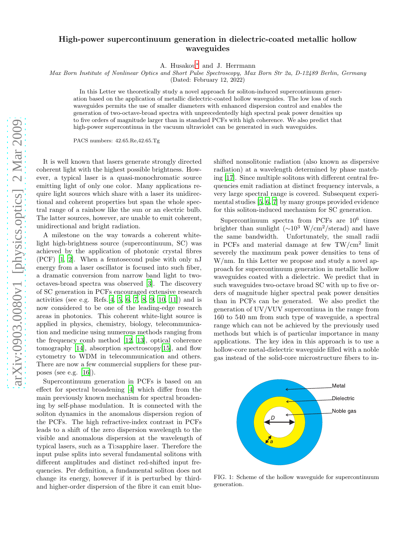## High-power supercontinuum generation in dielectric-coated metallic hollow waveguides

A. Husakou[∗](#page-3-0) and J. Herrmann

Max Born Institute of Nonlinear Optics and Short Pulse Spectroscopy, Max Born Str 2a, D-12489 Berlin, Germany

(Dated: February 12, 2022)

In this Letter we theoretically study a novel approach for soliton-induced supercontinuum generation based on the application of metallic dielectric-coated hollow waveguides. The low loss of such waveguides permits the use of smaller diameters with enhanced dispersion control and enables the generation of two-octave-broad spectra with unprecedentedly high spectral peak power densities up to five orders of magnitude larger than in standard PCFs with high coherence. We also predict that high-power supercontinua in the vacuum ultraviolet can be generated in such waveguides.

PACS numbers: 42.65.Re,42.65.Tg

It is well known that lasers generate strongly directed coherent light with the highest possible brightness. However, a typical laser is a quasi-monochromatic source emitting light of only one color. Many applications require light sources which share with a laser its unidirectional and coherent properties but span the whole spectral range of a rainbow like the sun or an electric bulb. The latter sources, however, are unable to emit coherent, unidirectional and bright radiation.

A milestone on the way towards a coherent whitelight high-brightness source (supercontinuum, SC) was achieved by the application of photonic crystal fibres (PCF) [\[1](#page-3-1), [2](#page-3-2)]. When a femtosecond pulse with only nJ energy from a laser oscillator is focused into such fiber, a dramatic conversion from narrow band light to twooctaves-broad spectra was observed [\[3](#page-3-3)]. The discovery of SC generation in PCFs encouraged extensive research activities (see e.g. Refs.  $[4, 5, 6, 7, 8, 9, 10, 11]$  $[4, 5, 6, 7, 8, 9, 10, 11]$  $[4, 5, 6, 7, 8, 9, 10, 11]$  $[4, 5, 6, 7, 8, 9, 10, 11]$  $[4, 5, 6, 7, 8, 9, 10, 11]$  $[4, 5, 6, 7, 8, 9, 10, 11]$  $[4, 5, 6, 7, 8, 9, 10, 11]$  $[4, 5, 6, 7, 8, 9, 10, 11]$  $[4, 5, 6, 7, 8, 9, 10, 11]$  $[4, 5, 6, 7, 8, 9, 10, 11]$  $[4, 5, 6, 7, 8, 9, 10, 11]$  $[4, 5, 6, 7, 8, 9, 10, 11]$ ) and is now considered to be one of the leading-edge research areas in photonics. This coherent white-light source is applied in physics, chemistry, biology, telecommunication and medicine using numerous methods ranging from the frequency comb method [\[12,](#page-3-12) [13](#page-3-13)], optical coherence tomography [\[14\]](#page-3-14), absorption spectroscopy[\[15\]](#page-3-15), and flow cytometry to WDM in telecommunication and others. There are now a few commercial suppliers for these purposes (see e.g.  $[16]$ ).

Supercontinuum generation in PCFs is based on an effect for spectral broadening [\[4\]](#page-3-4) which differ from the main previously known mechanism for spectral broadening by self-phase modulation. It is connected with the soliton dynamics in the anomalous dispersion region of the PCFs. The high refractive-index contrast in PCFs leads to a shift of the zero dispersion wavelength to the visible and anomalous dispersion at the wavelength of typical lasers, such as a Ti:sapphire laser. Therefore the input pulse splits into several fundamental solitons with different amplitudes and distinct red-shifted input frequencies. Per definition, a fundamental soliton does not change its energy, however if it is perturbed by thirdand higher-order dispersion of the fibre it can emit blueshifted nonsolitonic radiation (also known as dispersive radiation) at a wavelength determined by phase matching [\[17\]](#page-3-17). Since multiple solitons with different central frequencies emit radiation at distinct frequency intervals, a very large spectral range is covered. Subsequent experimental studies [\[5](#page-3-5), [6](#page-3-6), [7\]](#page-3-7) by many groups provided evidence for this soliton-induced mechanism for SC generation.

Supercontinuum spectra from PCFs are  $10^6$  times brighter than sunlight  $({\sim}10^3 \text{ W/cm}^2/\text{sterad})$  and have the same bandwidth. Unfortunately, the small radii in PCFs and material damage at few TW/cm<sup>2</sup> limit severely the maximum peak power densities to tens of W/nm. In this Letter we propose and study a novel approach for supercontinuum generation in metallic hollow waveguides coated with a dielectric. We predict that in such waveguides two-octave broad SC with up to five orders of magnitude higher spectral peak power densities than in PCFs can be generated. We also predict the generation of UV/VUV supercontinua in the range from 160 to 540 nm from such type of waveguide, a spectral range which can not be achieved by the previously used methods but which is of particular importance in many applications. The key idea in this approach is to use a hollow-core metal-dielectric waveguide filled with a noble gas instead of the solid-core microstructure fibers to in-



FIG. 1: Scheme of the hollow waveguide for supercontinuum generation.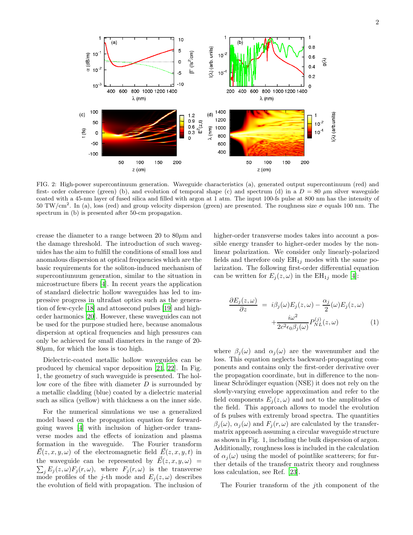

FIG. 2: High-power supercontinuum generation. Waveguide characteristics (a), generated output supercontinuum (red) and first- order coherence (green) (b), and evolution of temporal shape (c) and spectrum (d) in a  $D = 80 \mu m$  silver waveguide coated with a 45-nm layer of fused silica and filled with argon at 1 atm. The input 100-fs pulse at 800 nm has the intensity of  $50 \text{ TW/cm}^2$ . In (a), loss (red) and group velocity dispersion (green) are presented. The roughness size  $\sigma$  equals 100 nm. The spectrum in (b) is presented after 50-cm propagation.

crease the diameter to a range between 20 to  $80\mu$ m and the damage threshold. The introduction of such waveguides has the aim to fulfill the conditions of small loss and anomalous dispersion at optical frequencies which are the basic requirements for the soliton-induced mechanism of supercontiunuum generation, similar to the situation in microstructure fibers [\[4\]](#page-3-4). In recent years the application of standard dielectric hollow waveguides has led to impressive progress in ultrafast optics such as the generation of few-cycle [\[18\]](#page-3-18) and attosecond pulses [\[19](#page-4-0)] and highorder harmonics [\[20](#page-4-1)]. However, these waveguides can not be used for the purpose studied here, because anomalous dispersion at optical frequencies and high pressures can only be achieved for small diameters in the range of 20-  $80\mu$ m, for which the loss is too high.

Dielectric-coated metallic hollow waveguides can be produced by chemical vapor deposition [\[21,](#page-4-2) [22](#page-4-3)]. In Fig. 1, the geometry of such waveguide is presented. The hollow core of the fibre with diameter  $D$  is surrounded by a metallic cladding (blue) coated by a dielectric material such as silica (yellow) with thickness a on the inner side.

For the numerical simulations we use a generalized model based on the propagation equation for forwardgoing waves [\[4\]](#page-3-4) with inclusion of higher-order transverse modes and the effects of ionization and plasma formation in the waveguide. The Fourier transform  $E(z, x, y, \omega)$  of the electromagnetic field  $E(z, x, y, t)$  in the waveguide can be represented by  $\vec{E}(z, x, y, \omega)$  =  $\sum_j E_j(z,\omega) F_j(r,\omega)$ , where  $F_j(r,\omega)$  is the transverse mode profiles of the j-th mode and  $E_j(z,\omega)$  describes the evolution of field with propagation. The inclusion of higher-order transverse modes takes into account a possible energy transfer to higher-order modes by the nonlinear polarization. We consider only linearly-polarized fields and therefore only  $EH_{1j}$  modes with the same polarization. The following first-order differential equation can be written for  $E_j(z,\omega)$  in the EH<sub>1j</sub> mode [\[4\]](#page-3-4):

$$
\frac{\partial E_j(z,\omega)}{\partial z} = i\beta_j(\omega)E_j(z,\omega) - \frac{\alpha_j}{2}(\omega)E_j(z,\omega) + \frac{i\omega^2}{2c^2\epsilon_0\beta_j(\omega)}P_{NL}^{(j)}(z,\omega)
$$
\n(1)

where  $\beta_i(\omega)$  and  $\alpha_i(\omega)$  are the wavenumber and the loss. This equation neglects backward-propagating components and contains only the first-order derivative over the propagation coordinate, but in difference to the nonlinear Schrödinger equation (NSE) it does not rely on the slowly-varying envelope approximation and refer to the field components  $E_i(z, \omega)$  and not to the amplitudes of the field. This approach allows to model the evolution of fs pulses with extremly broad spectra. The quantities  $\beta_i(\omega)$ ,  $\alpha_i(\omega)$  and  $F_i(r, \omega)$  are calculated by the transfermatrix approach assuming a circular waveguide structure as shown in Fig. 1, including the bulk dispersion of argon. Additionally, roughness loss is included in the calculation of  $\alpha_i(\omega)$  using the model of pointlike scatterers; for further details of the transfer matrix theory and roughness loss calculation, see Ref. [\[23\]](#page-4-4).

The Fourier transform of the *j*th component of the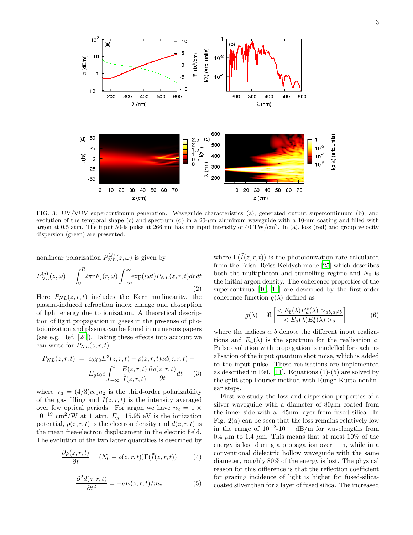

FIG. 3: UV/VUV supercontinuum generation. Waveguide characteristics (a), generated output supercontinuum (b), and evolution of the temporal shape  $(c)$  and spectrum  $(d)$  in a  $20-\mu m$  aluminum waveguide with a 10-nm coating and filled with argon at 0.5 atm. The input 50-fs pulse at 266 nm has the input intensity of 40 TW/cm<sup>2</sup>. In (a), loss (red) and group velocity dispersion (green) are presented.

nonlinear polarization  $P_{NL}^{(j)}(z,\omega)$  is given by

$$
P_{NL}^{(j)}(z,\omega) = \int_0^R 2\pi r F_j(r,\omega) \int_{-\infty}^\infty \exp(i\omega t) P_{NL}(z,r,t) dr dt
$$
\n(2)

Here  $P_{NL}(z, r, t)$  includes the Kerr nonlinearity, the plasma-induced refraction index change and absorption of light energy due to ionization. A theoretical description of light propagation in gases in the presense of photoionization and plasma can be found in numerous papers (see e.g. Ref. [\[24](#page-4-5)]). Taking these effects into account we can write for  $P_{NL}(z, r, t)$ :

$$
P_{NL}(z,r,t) = \epsilon_0 \chi_3 E^3(z,r,t) - \rho(z,r,t) \cdot ed(z,r,t) -
$$

$$
E_g \epsilon_0 c \int_{-\infty}^t \frac{E(z,r,t)}{\tilde{I}(z,r,t)} \frac{\partial \rho(z,r,t)}{\partial t} dt \qquad (3)
$$

where  $\chi_3 = (4/3)c\epsilon_0 n_2$  is the third-order polarizability of the gas filling and  $\tilde{I}(z, r, t)$  is the intensity averaged over few optical periods. For argon we have  $n_2 = 1 \times$  $10^{-19}$  cm<sup>2</sup>/W at 1 atm,  $E_q$ =15.95 eV is the ionization potential,  $\rho(z, r, t)$  is the electron density and  $d(z, r, t)$  is the mean free-electron displacement in the electric field. The evolution of the two latter quantities is described by

$$
\frac{\partial \rho(z, r, t)}{\partial t} = (N_0 - \rho(z, r, t)) \Gamma(\tilde{I}(z, r, t)) \tag{4}
$$

$$
\frac{\partial^2 d(z, r, t)}{\partial t^2} = -eE(z, r, t)/m_e \tag{5}
$$

where  $\Gamma(\tilde{I}(z, r, t))$  is the photoionization rate calculated from the Faisal-Reiss-Keldysh model[\[25\]](#page-4-6) which describes both the multiphoton and tunnelling regime and  $N_0$  is the initial argon density. The coherence properties of the supercontinua [\[10](#page-3-10), [11](#page-3-11)] are described by the first-order coherence function  $g(\lambda)$  defined as

$$
g(\lambda) = \Re \left[ \frac{\langle E_b(\lambda) E_a^*(\lambda) >_{ab, a \neq b}}{\langle E_a(\lambda) E_a^*(\lambda) >_a} \right] \tag{6}
$$

where the indices  $a, b$  denote the different input realizations and  $E_a(\lambda)$  is the spectrum for the realisation a. Pulse evolution with propagation is modelled for each realisation of the input quantum shot noise, which is added to the input pulse. These realisations are implemented as described in Ref. [\[11](#page-3-11)]. Equations  $(1)-(5)$  are solved by the split-step Fourier method with Runge-Kutta nonlinear steps.

First we study the loss and dispersion properties of a silver waveguide with a diameter of  $80\mu$ m coated from the inner side with a 45nm layer from fused silica. In Fig. 2(a) can be seen that the loss remains relatively low in the range of  $10^{-2}$ -10<sup>-1</sup> dB/m for wavelengths from 0.4  $\mu$ m to 1.4  $\mu$ m. This means that at most 10% of the energy is lost during a propagation over 1 m, while in a conventional dielectric hollow waveguide with the same diameter, roughly 80% of the energy is lost. The physical reason for this difference is that the reflection coefficient for grazing incidence of light is higher for fused-silicacoated silver than for a layer of fused silica. The increased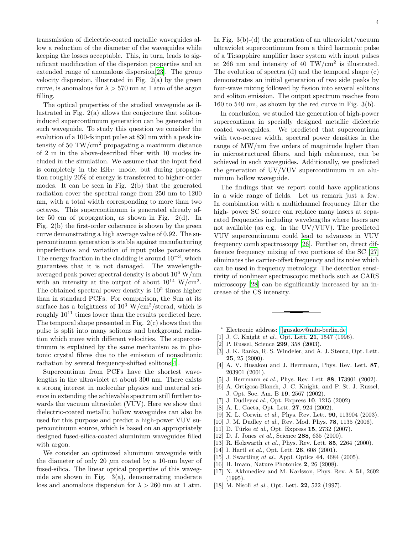transmission of dielectric-coated metallic waveguides allow a reduction of the diameter of the waveguides while keeping the losses acceptable. This, in turn, leads to significant modification of the dispersion properties and an extended range of anomalous dispersion[\[23](#page-4-4)]. The group velocity dispersion, illustrated in Fig.  $2(a)$  by the green curve, is anomalous for  $\lambda > 570$  nm at 1 atm of the argon filling.

The optical properties of the studied waveguide as illustrated in Fig. 2(a) allows the conjecture that solitoninduced supercontinuum generation can be generated in such waveguide. To study this question we consider the evolution of a 100-fs input pulse at 830 nm with a peak intensity of 50 TW/ $\text{cm}^2$  propagating a maximum distance of 2 m in the above-described fiber with 10 modes included in the simulation. We assume that the input field is completely in the  $EH_{11}$  mode, but during propagation roughly 20% of energy is transferred to higher-order modes. It can be seen in Fig. 2(b) that the generated radiation cover the spectral range from 250 nm to 1200 nm, with a total width corresponding to more than two octaves. This supercontinuum is generated already after 50 cm of propagation, as shown in Fig. 2(d). In Fig. 2(b) the first-order coherence is shown by the green curve demonstrating a high average value of 0.92. The supercontinuum generation is stable against manufacturing imperfections and variation of input pulse parameters. The energy fraction in the cladding is around  $10^{-3}$ , which guarantees that it is not damaged. The wavelengthaveraged peak power spectral density is about  $10^6$  W/nm with an intensity at the output of about  $10^{14}$  W/cm<sup>2</sup>. The obtained spectral power density is  $10<sup>5</sup>$  times higher than in standard PCFs. For comparison, the Sun at its surface has a brightness of  $10^3$  W/cm<sup>2</sup>/sterad, which is roughly  $10^{11}$  times lower than the results predicted here. The temporal shape presented in Fig. 2(c) shows that the pulse is split into many solitons and background radiation which move with different velocities. The supercontinuum is explained by the same mechanism as in photonic crystal fibres due to the emission of nonsolitonic radiation by several frequency-shifted solitons[\[4](#page-3-4)].

Supercontinua from PCFs have the shortest wavelengths in the ultraviolet at about 300 nm. There exists a strong interest in molecular physics and material science in extending the achievable spectrum still further towards the vacuum ultraviolet (VUV). Here we show that dielectric-coated metallic hollow waveguides can also be used for this purpose and predict a high-power VUV supercontinuum source, which is based on an appropriately designed fused-silica-coated aluminium waveguides filled with argon.

We consider an optimized aluminum waveguide with the diameter of only 20  $\mu$ m coated by a 10-nm layer of fused-silica. The linear optical properties of this waveguide are shown in Fig. 3(a), demonstrating moderate loss and anomalous dispersion for  $\lambda > 260$  nm at 1 atm.

In Fig.  $3(b)-(d)$  the generation of an ultraviolet/vacuum ultraviolet supercontinuum from a third harmonic pulse of a Ti:sapphire amplifier laser system with input pulses at 266 nm and intensity of 40 TW/ $\text{cm}^2$  is illustrated. The evolution of spectra (d) and the temporal shape (c) demonstrates an initial generation of two side peaks by four-wave mixing followed by fission into several solitons and soliton emission. The output spectrum reaches from 160 to 540 nm, as shown by the red curve in Fig. 3(b).

In conclusion, we studied the generation of high-power supercontinua in specially designed metallic dielectric coated waveguides. We predicted that supercontinua with two-octave width, spectral power densities in the range of MW/nm five orders of magnitude higher than in microstructured fibers, and high coherence, can be achieved in such waveguides. Additionally, we predicted the generation of UV/VUV supercontinuum in an aluminum hollow waveguide.

The findings that we report could have applications in a wide range of fields. Let us remark just a few. In combination with a multichannel frequency filter the high- power SC source can replace many lasers at separated frequencies including wavelengths where lasers are not available (as e.g. in the UV/VUV). The predicted VUV supercontinuum could lead to advances in VUV frequency comb spectroscopy [\[26](#page-4-7)]. Further on, direct difference frequency mixing of two portions of the SC [\[27](#page-4-8)] eliminates the carrier-offset frequency and its noise which can be used in frequency metrology. The detection sensitivity of nonlinear spectroscopic methods such as CARS microscopy [\[28\]](#page-4-9) can be significantly increased by an increase of the CS intensity.

- <span id="page-3-0"></span><sup>∗</sup> Electronic address: [\[\]gusakov@mbi-berlin.de](mailto:[]gusakov@mbi-berlin.de)
- <span id="page-3-1"></span>[1] J. C. Knight et al., Opt. Lett. **21**, 1547 (1996).
- <span id="page-3-2"></span>[2] P. Russel, Science 299, 358 (2003).
- <span id="page-3-3"></span>[3] J. K. Ranka, R. S. Windeler, and A. J. Stentz, Opt. Lett. 25, 25 (2000).
- <span id="page-3-4"></span>[4] A. V. Husakou and J. Herrmann, Phys. Rev. Lett. 87, 203901 (2001).
- <span id="page-3-5"></span>[5] J. Herrmann et al., Phys. Rev. Lett. 88, 173901 (2002).
- <span id="page-3-6"></span>[6] A. Ortigosa-Blanch, J. C. Knight, and P. St. J. Russel, J. Opt. Soc. Am. B 19, 2567 (2002).
- <span id="page-3-7"></span>[7] J. Dudleyet al., Opt. Express 10, 1215 (2002)
- <span id="page-3-8"></span>[8] A. L. Gaeta, Opt. Lett. 27, 924 (2002).
- <span id="page-3-9"></span>[9] K. L. Corwin et al., Phys. Rev. Lett. **90**, 113904 (2003).
- <span id="page-3-10"></span>[10] J. M. Dudley et al., Rev. Mod. Phys. **78**, 1135 (2006).
- <span id="page-3-11"></span>[11] D. Türke *et al.*, Opt. Express  $15$ , 2732 (2007).
- <span id="page-3-12"></span>[12] D. J. Jones et al., Science 288, 635 (2000).
- <span id="page-3-13"></span>[13] R. Holzwarth et al., Phys. Rev. Lett. 85, 2264 (2000).
- <span id="page-3-14"></span>[14] I. Hartl et al., Opt. Lett. **26**, 608 (2001).
- <span id="page-3-15"></span>[15] J. Swartling at al., Appl. Optics 44, 4684 (2005).
- <span id="page-3-16"></span>[16] H. Imam, Nature Photonics **2**, 26 (2008).
- <span id="page-3-17"></span>[17] N. Akhmediev and M. Karlsson, Phys. Rev. A 51, 2602  $(1995)$ .
- <span id="page-3-18"></span>[18] M. Nisoli et al., Opt. Lett. **22**, 522 (1997).